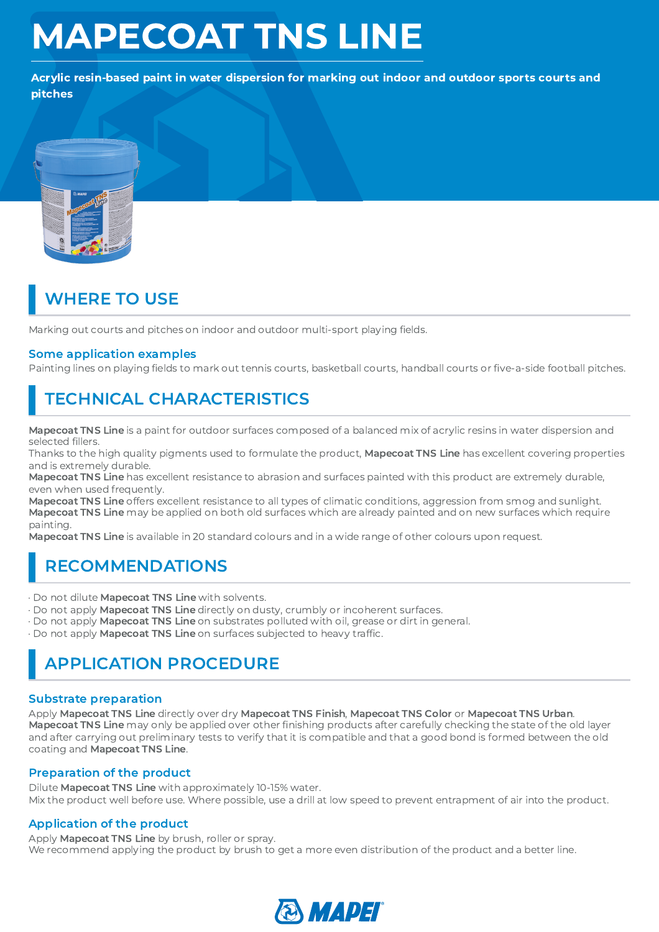# MAPECOAT TNS LINE

Acrylic resin-based paint in water dispersion for marking out indoor and outdoor sports courts and pitches



## WHERE TO USE

Marking out courts and pitches on indoor and outdoor multi-sport playing fields.

### Some application examples

Painting lines on playing fields to mark out tennis courts, basketball courts, handball courts or five-a-side football pitches.

### TECHNICAL CHARACTERISTICS

Mapecoat TNS Line is a paint for outdoor surfaces composed of a balanced mix of acrylic resins in water dispersion and selected fillers.

fillers.<br>b the l<br>:reme<br>i**t TNS** Thanks to the high quality pigments used to formulate the product, **Mapecoat TNS Line** has excellent covering properties and is extremely durable.

Mapecoat TNS Line has excellent resistance to abrasion and surfaces painted with this product are extremely durable, even when used frequently.

Mapecoat TNS Line offers excellent resistance to all types of climatic conditions, aggression from smog and sunlight. Mapecoat TNS Line may be applied on both old surfaces which are already painted and on new surfaces which require painting.

Mapecoat TNS Line is available in 20 standard colours and in a wide range of other colours upon request.

### RECOMMENDATIONS

· Do not dilute Mapecoat TNS Line with solvents.

- · Do not apply Mapecoat TNS Line directly on dusty, crumbly or incoherent surfaces.
- · Do not apply Mapecoat TNS Line on substrates polluted with oil, grease or dirt in general.
- 

# · Do not apply Mapecoat TNS Line on surfaces subjected to heavy traffic. APPLICATION PROCEDURE

### Substrate preparation

Apply Mapecoat TNS Line directly over dry Mapecoat TNS Finish, Mapecoat TNS Color or Mapecoat TNS Urban. Mapecoat TNS Line may only be applied over other finishing products after carefully checking the state of the old layer finishing products after carefully checking the state of the old layer<br>t it is compatible and that a good bond is formed between the old<br>. and after carrying out preliminary tests to verify that it is compatible and that a good bond is formed between the old coating and Mapecoat TNS Line.

### Preparation of the product

Dilute Mapecoat TNS Line with approximately 10-15% water. Mix the product well before use. Where possible, use a drill at low speed to prevent entrapment of air into the product.

### Application of the product

Apply Mapecoat TNS Line by brush, roller or spray. We recommend applying the product by brush to get a more even distribution of the product and a better line.

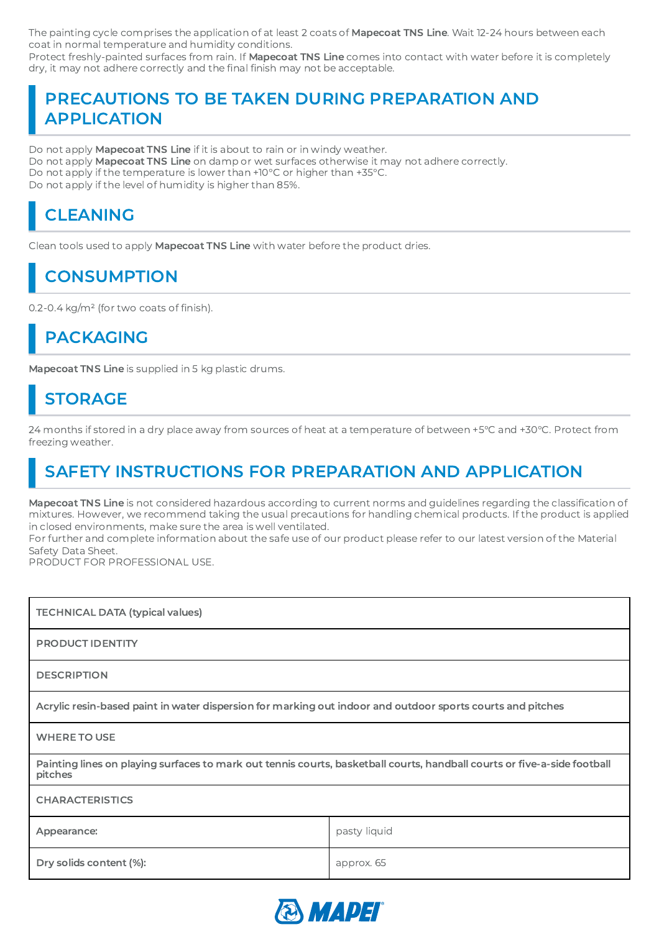The painting cycle comprises the application of at least 2 coats of **Mapecoat TNS Line**. Wait 12-24 hours between each coat in normal temperature and humidity conditions.

Protect freshly-painted surfaces from rain. If Mapecoat TNS Line comes into contact with water before it is completely dry, it may not adhere correctly and the final finish may not be acceptable.

## , it may not adhere correctly and the final finish may not be acceptable.<br>PRECAUTIONS TO BE TAKEN DURING PREPARATION AND APPLICATION

Do not apply Mapecoat TNS Line if it is about to rain or in windy weather. Do not apply Mapecoat TNS Line on damp or wet surfaces otherwise it may not adhere correctly. Do not apply if the temperature is lower than +10°C or higher than +35°C. Do not apply if the level of humidity is higher than 85%.

## CLEANING

Clean tools used to apply Mapecoat TNS Line with water before the product dries.

### **CONSUMPTION**

### 0.2-0.4 kg/m<sup>2</sup> (for two coats of finish).<br>  $\begin{array}{|l|} \hline \textbf{PACKAGING} \end{array}$ PACKAGING

Mapecoat TNS Line is supplied in 5 kg plastic drums.

### STORAGE

24 months if stored in a dry place away from sources of heat at a temperature of between +5°C and +30°C. Protect from freezing weather.

## SAFETY INSTRUCTIONS FOR PREPARATION AND APPLICATION

**Mapecoat TNS Line** is not considered hazardous according to current norms and guidelines regarding the classification of<br>mixtures. However, we recommend taking the usual precautions for handling chemical products. If the mixtures. However, we recommend taking the usual precautions for handling chemical products. If the product is applied in closed environments, make sure the area is well ventilated.

For further and complete information about the safe use of our product please refer to our latest version of the Material Safety Data Sheet.

PRODUCT FOR PROFESSIONAL USE.

| <b>TECHNICAL DATA (typical values)</b>                                                                                              |              |
|-------------------------------------------------------------------------------------------------------------------------------------|--------------|
| <b>PRODUCT IDENTITY</b>                                                                                                             |              |
| <b>DESCRIPTION</b>                                                                                                                  |              |
| Acrylic resin-based paint in water dispersion for marking out indoor and outdoor sports courts and pitches                          |              |
| <b>WHERE TO USE</b>                                                                                                                 |              |
| Painting lines on playing surfaces to mark out tennis courts, basketball courts, handball courts or five-a-side football<br>pitches |              |
| <b>CHARACTERISTICS</b>                                                                                                              |              |
| Appearance:                                                                                                                         | pasty liquid |
| Dry solids content (%):                                                                                                             | approx. 65   |